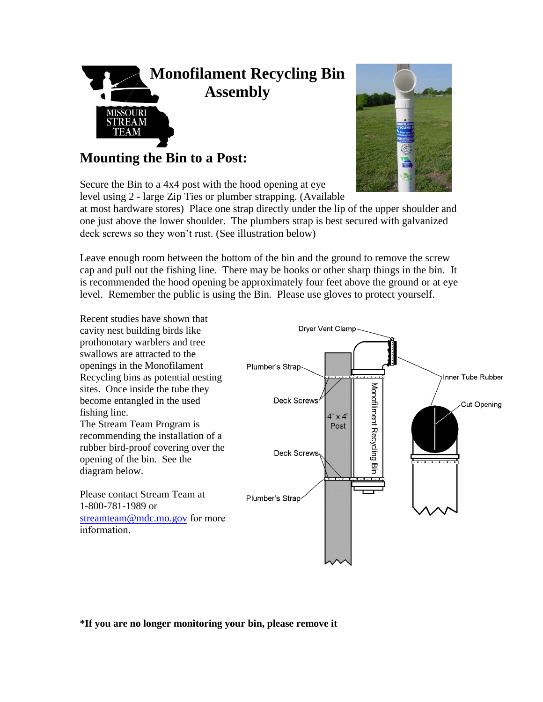

**Mounting the Bin to a Post:**

Secure the Bin to a 4x4 post with the hood opening at eye level using 2 - large Zip Ties or plumber strapping. (Available



at most hardware stores) Place one strap directly under the lip of the upper shoulder and one just above the lower shoulder. The plumbers strap is best secured with galvanized deck screws so they won't rust. (See illustration below)

Leave enough room between the bottom of the bin and the ground to remove the screw cap and pull out the fishing line. There may be hooks or other sharp things in the bin. It is recommended the hood opening be approximately four feet above the ground or at eye level. Remember the public is using the Bin. Please use gloves to protect yourself.



**\*If you are no longer monitoring your bin, please remove it**